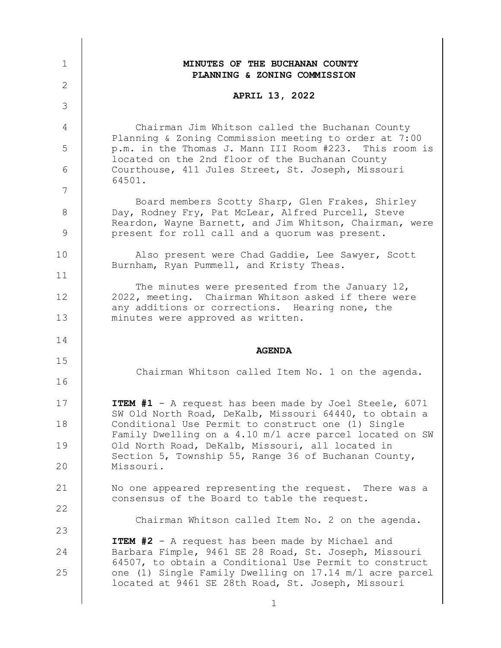| $\mathbf 1$    | MINUTES OF THE BUCHANAN COUNTY<br>PLANNING & ZONING COMMISSION                                                                                                                                 |
|----------------|------------------------------------------------------------------------------------------------------------------------------------------------------------------------------------------------|
| $\overline{2}$ | <b>APRIL 13, 2022</b>                                                                                                                                                                          |
| 3              |                                                                                                                                                                                                |
| 4              | Chairman Jim Whitson called the Buchanan County                                                                                                                                                |
| 5              | Planning & Zoning Commission meeting to order at 7:00<br>p.m. in the Thomas J. Mann III Room #223. This room is<br>located on the 2nd floor of the Buchanan County                             |
| 6              | Courthouse, 411 Jules Street, St. Joseph, Missouri<br>64501.                                                                                                                                   |
| 7              | Board members Scotty Sharp, Glen Frakes, Shirley                                                                                                                                               |
| 8<br>9         | Day, Rodney Fry, Pat McLear, Alfred Purcell, Steve<br>Reardon, Wayne Barnett, and Jim Whitson, Chairman, were<br>present for roll call and a quorum was present.                               |
| 10             | Also present were Chad Gaddie, Lee Sawyer, Scott                                                                                                                                               |
| 11             | Burnham, Ryan Pummell, and Kristy Theas.                                                                                                                                                       |
| 12             | The minutes were presented from the January 12,<br>2022, meeting. Chairman Whitson asked if there were<br>any additions or corrections. Hearing none, the<br>minutes were approved as written. |
| 13             |                                                                                                                                                                                                |
| 14             |                                                                                                                                                                                                |
|                |                                                                                                                                                                                                |
|                | <b>AGENDA</b>                                                                                                                                                                                  |
| 15<br>16       | Chairman Whitson called Item No. 1 on the agenda.                                                                                                                                              |
| 17             | ITEM #1 - A request has been made by Joel Steele, 6071                                                                                                                                         |
| 18             | SW Old North Road, DeKalb, Missouri 64440, to obtain a<br>Conditional Use Permit to construct one (1) Single                                                                                   |
| 19             | Family Dwelling on a 4.10 m/l acre parcel located on SW<br>Old North Road, DeKalb, Missouri, all located in                                                                                    |
| 20             | Section 5, Township 55, Range 36 of Buchanan County,<br>Missouri.                                                                                                                              |
| 21             | No one appeared representing the request. There was a                                                                                                                                          |
| 22             | consensus of the Board to table the request.                                                                                                                                                   |
| 23             | Chairman Whitson called Item No. 2 on the agenda.                                                                                                                                              |
| 24             | <b>ITEM #2</b> - A request has been made by Michael and<br>Barbara Fimple, 9461 SE 28 Road, St. Joseph, Missouri                                                                               |
| 25             | 64507, to obtain a Conditional Use Permit to construct<br>one (1) Single Family Dwelling on 17.14 m/l acre parcel<br>located at 9461 SE 28th Road, St. Joseph, Missouri                        |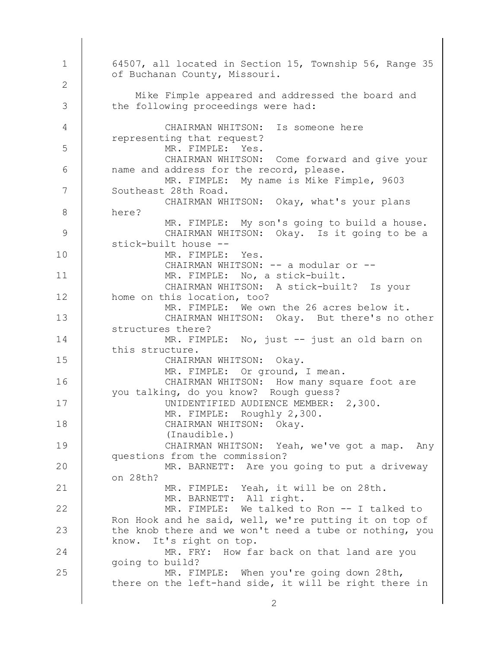MR. FIMPLE: When you're going down 28th, there on the left-hand side, it will be right there in MR. FRY: How far back on that land are you going to build? MR. FIMPLE: We talked to Ron -- I talked to Ron Hook and he said, well, we're putting it on top of the knob there and we won't need a tube or nothing, you know. It's right on top. MR. BARNETT: All right. MR. FIMPLE: Yeah, it will be on 28th. MR. BARNETT: Are you going to put a driveway on 28th? CHAIRMAN WHITSON: Yeah, we've got a map. Any questions from the commission? (Inaudible.) CHAIRMAN WHITSON: Okay. MR. FIMPLE: Roughly 2,300. UNIDENTIFIED AUDIENCE MEMBER: 2,300. CHAIRMAN WHITSON: How many square foot are you talking, do you know? Rough guess? MR. FIMPLE: Or ground, I mean. CHAIRMAN WHITSON: Okay. MR. FIMPLE: No, just -- just an old barn on this structure. CHAIRMAN WHITSON: Okay. But there's no other structures there? MR. FIMPLE: We own the 26 acres below it. CHAIRMAN WHITSON: A stick-built? Is your home on this location, too? MR. FIMPLE: No, a stick-built. CHAIRMAN WHITSON: -- a modular or --MR. FIMPLE: Yes. CHAIRMAN WHITSON: Okay. Is it going to be a stick-built house -- MR. FIMPLE: My son's going to build a house. CHAIRMAN WHITSON: Okay, what's your plans here? MR. FIMPLE: My name is Mike Fimple, 9603 Southeast 28th Road. CHAIRMAN WHITSON: Come forward and give your name and address for the record, please. MR. FIMPLE: Yes. CHAIRMAN WHITSON: Is someone here representing that request? Mike Fimple appeared and addressed the board and the following proceedings were had: 64507, all located in Section 15, Township 56, Range 35 of Buchanan County, Missouri. 1 2 3 4 5 6 7 8 9 10 11 12 13 14 15 16 17 18 19 20 21 22 23 24 25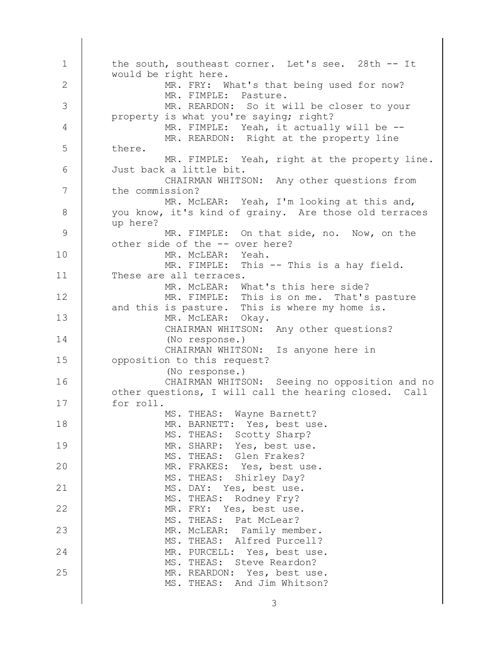MS. THEAS: And Jim Whitson? MR. REARDON: Yes, best use. MS. THEAS: Steve Reardon? MR. PURCELL: Yes, best use. MS. THEAS: Alfred Purcell? MR. McLEAR: Family member. MS. THEAS: Pat McLear? MR. FRY: Yes, best use. MS. THEAS: Rodney Fry? MS. DAY: Yes, best use. MS. THEAS: Shirley Day? MR. FRAKES: Yes, best use. MS. THEAS: Glen Frakes? MR. SHARP: Yes, best use. MS. THEAS: Scotty Sharp? MR. BARNETT: Yes, best use. MS. THEAS: Wayne Barnett? CHAIRMAN WHITSON: Seeing no opposition and no other questions, I will call the hearing closed. Call for roll. (No response.) CHAIRMAN WHITSON: Is anyone here in opposition to this request? (No response.) CHAIRMAN WHITSON: Any other questions? MR. McLEAR: Okay. MR. FIMPLE: This is on me. That's pasture and this is pasture. This is where my home is. MR. McLEAR: What's this here side? MR. FIMPLE: This -- This is a hay field. These are all terraces. MR. McLEAR: Yeah. MR. FIMPLE: On that side, no. Now, on the other side of the -- over here? MR. McLEAR: Yeah, I'm looking at this and, you know, it's kind of grainy. Are those old terraces up here? CHAIRMAN WHITSON: Any other questions from the commission? MR. FIMPLE: Yeah, right at the property line. Just back a little bit. MR. REARDON: Right at the property line there. MR. FIMPLE: Yeah, it actually will be --MR. REARDON: So it will be closer to your property is what you're saying; right? MR. FIMPLE: Pasture. MR. FRY: What's that being used for now? the south, southeast corner. Let's see. 28th -- It would be right here. 1 2 3 4 5 6 7 8 9 10 11 12 13 14 15 16 17 18 19 20 21 22 23 24 25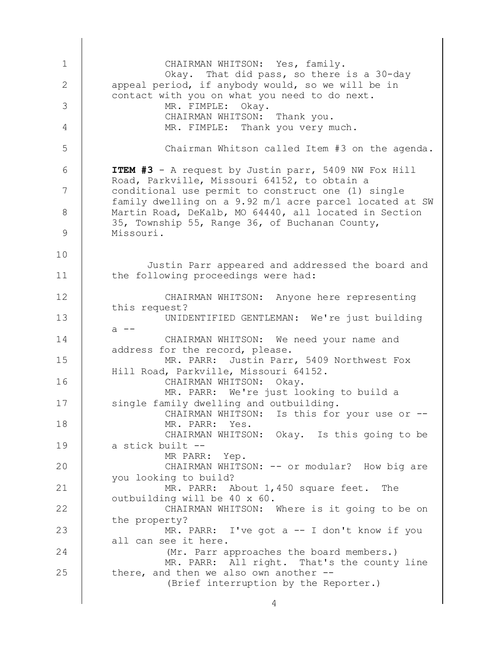(Brief interruption by the Reporter.) MR. PARR: All right. That's the county line there, and then we also own another -- (Mr. Parr approaches the board members.) MR. PARR: I've got a -- I don't know if you all can see it here. CHAIRMAN WHITSON: Where is it going to be on the property? MR. PARR: About 1,450 square feet. The outbuilding will be 40 x 60. CHAIRMAN WHITSON: -- or modular? How big are you looking to build? MR PARR: Yep. CHAIRMAN WHITSON: Okay. Is this going to be a stick built -- MR. PARR: Yes. CHAIRMAN WHITSON: Is this for your use or --MR. PARR: We're just looking to build a single family dwelling and outbuilding. CHAIRMAN WHITSON: Okay. MR. PARR: Justin Parr, 5409 Northwest Fox Hill Road, Parkville, Missouri 64152. CHAIRMAN WHITSON: We need your name and address for the record, please. UNIDENTIFIED GENTLEMAN: We're just building  $a$   $-$ CHAIRMAN WHITSON: Anyone here representing this request? Justin Parr appeared and addressed the board and the following proceedings were had: **ITEM #3** - A request by Justin parr, 5409 NW Fox Hill Road, Parkville, Missouri 64152, to obtain a conditional use permit to construct one (1) single family dwelling on a 9.92 m/l acre parcel located at SW Martin Road, DeKalb, MO 64440, all located in Section 35, Township 55, Range 36, of Buchanan County, Missouri. Chairman Whitson called Item #3 on the agenda. MR. FIMPLE: Thank you very much. CHAIRMAN WHITSON: Thank you. MR. FIMPLE: Okay. Okay. That did pass, so there is a 30-day appeal period, if anybody would, so we will be in contact with you on what you need to do next. CHAIRMAN WHITSON: Yes, family. 1 2 3 4 5 6 7 8 9 10 11 12 13 14 15 16 17 18 19 20 21 22 23 24 25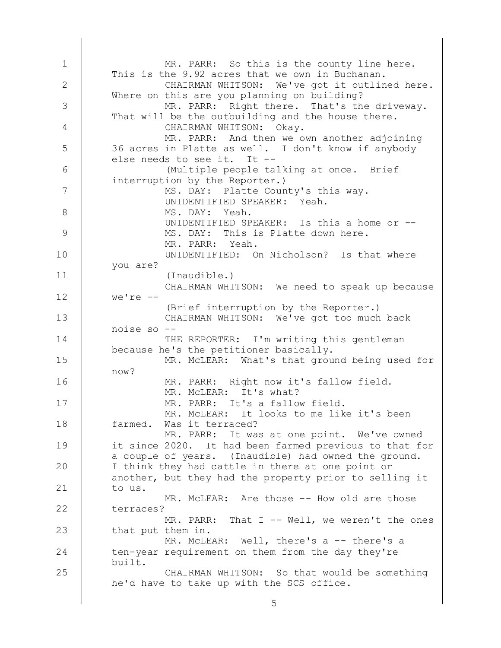CHAIRMAN WHITSON: So that would be something he'd have to take up with the SCS office. MR. McLEAR: Well, there's a -- there's a ten-year requirement on them from the day they're built. MR. PARR: That I -- Well, we weren't the ones that put them in. MR. McLEAR: Are those -- How old are those terraces? MR. PARR: It was at one point. We've owned it since 2020. It had been farmed previous to that for a couple of years. (Inaudible) had owned the ground. I think they had cattle in there at one point or another, but they had the property prior to selling it to us. MR. McLEAR: It looks to me like it's been farmed. Was it terraced? MR. PARR: It's a fallow field. MR. McLEAR: It's what? MR. PARR: Right now it's fallow field. MR. McLEAR: What's that ground being used for now? THE REPORTER: I'm writing this gentleman because he's the petitioner basically. CHAIRMAN WHITSON: We've got too much back noise so -- (Brief interruption by the Reporter.) CHAIRMAN WHITSON: We need to speak up because we're -- (Inaudible.) UNIDENTIFIED: On Nicholson? Is that where you are? MR. PARR: Yeah. MS. DAY: This is Platte down here. UNIDENTIFIED SPEAKER: Is this a home or -- MS. DAY: Yeah. UNIDENTIFIED SPEAKER: Yeah. MS. DAY: Platte County's this way. (Multiple people talking at once. Brief interruption by the Reporter.) MR. PARR: And then we own another adjoining 36 acres in Platte as well. I don't know if anybody else needs to see it. It -- CHAIRMAN WHITSON: Okay. MR. PARR: Right there. That's the driveway. That will be the outbuilding and the house there. CHAIRMAN WHITSON: We've got it outlined here. Where on this are you planning on building? MR. PARR: So this is the county line here. This is the 9.92 acres that we own in Buchanan. 1 2 3 4 5 6 7 8 9 10 11 12 13 14 15 16 17 18 19 20 21 22 23 24 25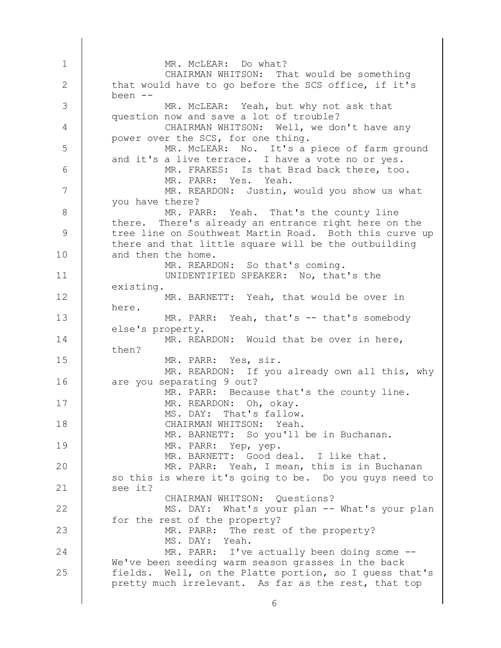MR. PARR: I've actually been doing some --We've been seeding warm season grasses in the back fields. Well, on the Platte portion, so I guess that's pretty much irrelevant. As far as the rest, that top MS. DAY: Yeah. MR. PARR: The rest of the property? MS. DAY: What's your plan -- What's your plan for the rest of the property? CHAIRMAN WHITSON: Questions? MR. PARR: Yeah, I mean, this is in Buchanan so this is where it's going to be. Do you guys need to see it? MR. BARNETT: Good deal. I like that. MR. PARR: Yep, yep. MR. BARNETT: So you'll be in Buchanan. CHAIRMAN WHITSON: Yeah. MS. DAY: That's fallow. MR. REARDON: Oh, okay. MR. PARR: Because that's the county line. MR. REARDON: If you already own all this, why are you separating 9 out? MR. PARR: Yes, sir. MR. REARDON: Would that be over in here, then? MR. PARR: Yeah, that's -- that's somebody else's property. MR. BARNETT: Yeah, that would be over in here. UNIDENTIFIED SPEAKER: No, that's the existing. MR. REARDON: So that's coming. MR. PARR: Yeah. That's the county line there. There's already an entrance right here on the tree line on Southwest Martin Road. Both this curve up there and that little square will be the outbuilding and then the home. MR. REARDON: Justin, would you show us what you have there? MR. PARR: Yes. Yeah. MR. FRAKES: Is that Brad back there, too. MR. McLEAR: No. It's a piece of farm ground and it's a live terrace. I have a vote no or yes. CHAIRMAN WHITSON: Well, we don't have any power over the SCS, for one thing. MR. McLEAR: Yeah, but why not ask that question now and save a lot of trouble? CHAIRMAN WHITSON: That would be something that would have to go before the SCS office, if it's been -- MR. McLEAR: Do what? 1 2 3 4 5 6 7 8 9 10 11 12 13 14 15 16 17 18 19 20 21 22 23 24 25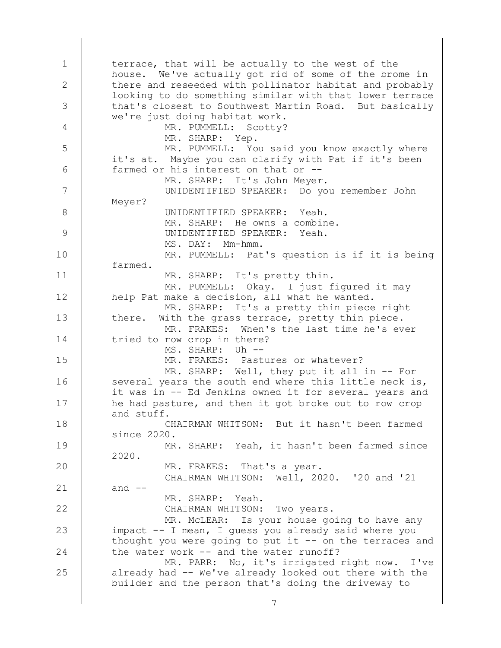MR. PARR: No, it's irrigated right now. I've already had -- We've already looked out there with the builder and the person that's doing the driveway to MR. McLEAR: Is your house going to have any impact -- I mean, I guess you already said where you thought you were going to put it  $-$ - on the terraces and the water work -- and the water runoff? CHAIRMAN WHITSON: Two years. MR. SHARP: Yeah. CHAIRMAN WHITSON: Well, 2020. '20 and '21 and  $--$ MR. FRAKES: That's a year. MR. SHARP: Yeah, it hasn't been farmed since 2020. CHAIRMAN WHITSON: But it hasn't been farmed since 2020. MR. SHARP: Well, they put it all in -- For several years the south end where this little neck is, it was in -- Ed Jenkins owned it for several years and he had pasture, and then it got broke out to row crop and stuff. MR. FRAKES: Pastures or whatever? MS. SHARP: Uh -- MR. FRAKES: When's the last time he's ever tried to row crop in there? MR. SHARP: It's a pretty thin piece right there. With the grass terrace, pretty thin piece. MR. PUMMELL: Okay. I just figured it may help Pat make a decision, all what he wanted. MR. SHARP: It's pretty thin. MR. PUMMELL: Pat's question is if it is being farmed. MS. DAY: Mm-hmm. UNIDENTIFIED SPEAKER: Yeah. MR. SHARP: He owns a combine. UNIDENTIFIED SPEAKER: Yeah. UNIDENTIFIED SPEAKER: Do you remember John Meyer? MR. SHARP: It's John Meyer. MR. PUMMELL: You said you know exactly where it's at. Maybe you can clarify with Pat if it's been farmed or his interest on that or -- MR. SHARP: Yep. MR. PUMMELL: Scotty? terrace, that will be actually to the west of the house. We've actually got rid of some of the brome in there and reseeded with pollinator habitat and probably looking to do something similar with that lower terrace that's closest to Southwest Martin Road. But basically we're just doing habitat work. 1 2 3 4 5 6 7 8 9 10 11 12 13 14 15 16 17 18 19 20 21 22 23 24 25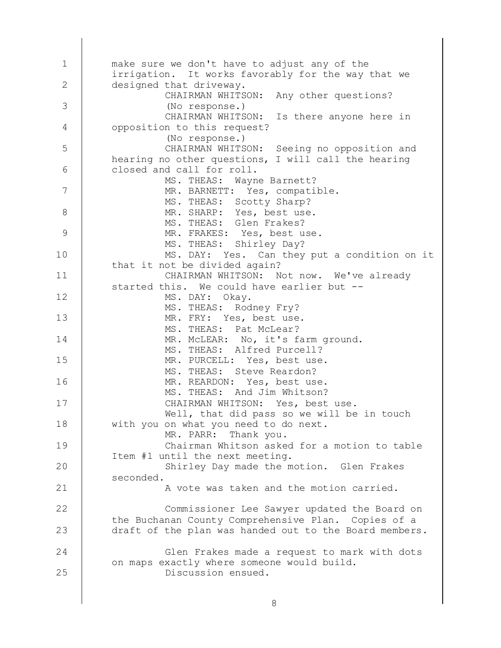Discussion ensued. Glen Frakes made a request to mark with dots on maps exactly where someone would build. Commissioner Lee Sawyer updated the Board on the Buchanan County Comprehensive Plan. Copies of a draft of the plan was handed out to the Board members. A vote was taken and the motion carried. Shirley Day made the motion. Glen Frakes seconded. Chairman Whitson asked for a motion to table Item #1 until the next meeting. MR. PARR: Thank you. Well, that did pass so we will be in touch with you on what you need to do next. CHAIRMAN WHITSON: Yes, best use. MS. THEAS: And Jim Whitson? MR. REARDON: Yes, best use. MS. THEAS: Steve Reardon? MR. PURCELL: Yes, best use. MS. THEAS: Alfred Purcell? MR. McLEAR: No, it's farm ground. MS. THEAS: Pat McLear? MR. FRY: Yes, best use. MS. THEAS: Rodney Fry? MS. DAY: Okay. CHAIRMAN WHITSON: Not now. We've already started this. We could have earlier but -- MS. DAY: Yes. Can they put a condition on it that it not be divided again? MS. THEAS: Shirley Day? MR. FRAKES: Yes, best use. MS. THEAS: Glen Frakes? MR. SHARP: Yes, best use. MS. THEAS: Scotty Sharp? MR. BARNETT: Yes, compatible. MS. THEAS: Wayne Barnett? CHAIRMAN WHITSON: Seeing no opposition and hearing no other questions, I will call the hearing closed and call for roll. (No response.) CHAIRMAN WHITSON: Is there anyone here in opposition to this request? (No response.) CHAIRMAN WHITSON: Any other questions? make sure we don't have to adjust any of the irrigation. It works favorably for the way that we designed that driveway. 1 2 3 4 5 6 7 8 9 10 11 12 13 14 15 16 17 18 19 20 21 22 23 24 25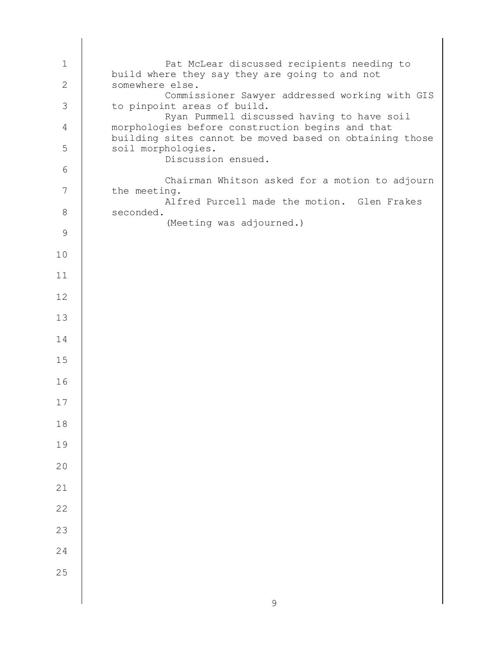(Meeting was adjourned.) Alfred Purcell made the motion. Glen Frakes seconded. Chairman Whitson asked for a motion to adjourn the meeting. Discussion ensued. Ryan Pummell discussed having to have soil morphologies before construction begins and that building sites cannot be moved based on obtaining those soil morphologies. Commissioner Sawyer addressed working with GIS to pinpoint areas of build. Pat McLear discussed recipients needing to build where they say they are going to and not somewhere else.